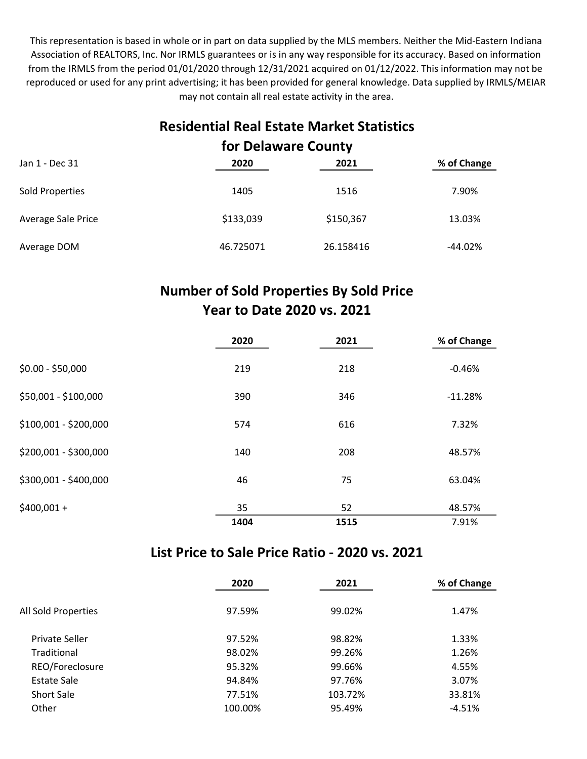This representation is based in whole or in part on data supplied by the MLS members. Neither the Mid-Eastern Indiana Association of REALTORS, Inc. Nor IRMLS guarantees or is in any way responsible for its accuracy. Based on information from the IRMLS from the period 01/01/2020 through 12/31/2021 acquired on 01/12/2022. This information may not be reproduced or used for any print advertising; it has been provided for general knowledge. Data supplied by IRMLS/MEIAR may not contain all real estate activity in the area.

### Residential Real Estate Market Statistics for Delaware County

| Jan 1 - Dec 31     | 2020      | 2021      | % of Change |
|--------------------|-----------|-----------|-------------|
| Sold Properties    | 1405      | 1516      | 7.90%       |
| Average Sale Price | \$133,039 | \$150,367 | 13.03%      |
| Average DOM        | 46.725071 | 26.158416 | $-44.02%$   |

## Number of Sold Properties By Sold Price Year to Date 2020 vs. 2021

|                       | 2020 | 2021 | % of Change |
|-----------------------|------|------|-------------|
| $$0.00 - $50,000$     | 219  | 218  | $-0.46%$    |
| \$50,001 - \$100,000  | 390  | 346  | $-11.28%$   |
| \$100,001 - \$200,000 | 574  | 616  | 7.32%       |
| \$200,001 - \$300,000 | 140  | 208  | 48.57%      |
| \$300,001 - \$400,000 | 46   | 75   | 63.04%      |
| $$400,001 +$          | 35   | 52   | 48.57%      |
|                       | 1404 | 1515 | 7.91%       |

#### List Price to Sale Price Ratio - 2020 vs. 2021

|                     | 2020    | 2021    | % of Change |
|---------------------|---------|---------|-------------|
| All Sold Properties | 97.59%  | 99.02%  | 1.47%       |
| Private Seller      | 97.52%  | 98.82%  | 1.33%       |
| Traditional         | 98.02%  | 99.26%  | 1.26%       |
| REO/Foreclosure     | 95.32%  | 99.66%  | 4.55%       |
| Estate Sale         | 94.84%  | 97.76%  | 3.07%       |
| <b>Short Sale</b>   | 77.51%  | 103.72% | 33.81%      |
| Other               | 100.00% | 95.49%  | $-4.51%$    |
|                     |         |         |             |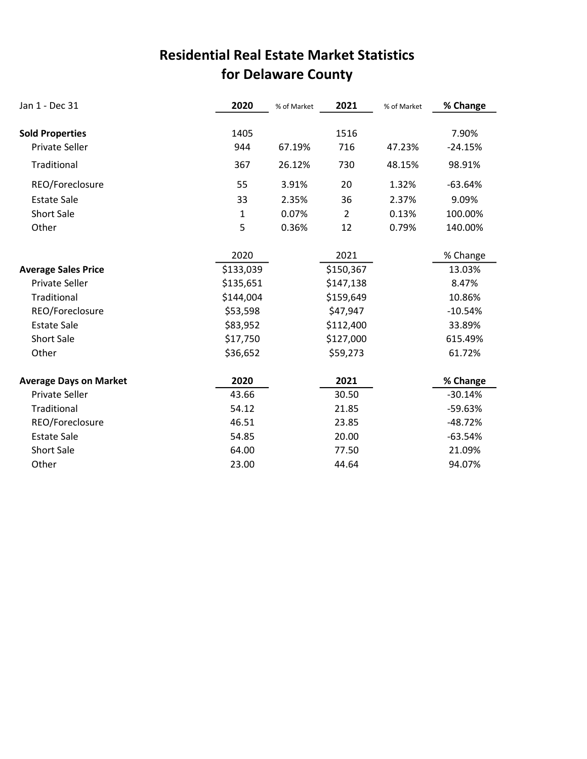## for Delaware County Residential Real Estate Market Statistics

| Jan 1 - Dec 31                | 2020         | % of Market | 2021           | % of Market | % Change  |
|-------------------------------|--------------|-------------|----------------|-------------|-----------|
|                               |              |             |                |             |           |
| <b>Sold Properties</b>        | 1405         |             | 1516           |             | 7.90%     |
| Private Seller                | 944          | 67.19%      | 716            | 47.23%      | $-24.15%$ |
| Traditional                   | 367          | 26.12%      | 730            | 48.15%      | 98.91%    |
| REO/Foreclosure               | 55           | 3.91%       | 20             | 1.32%       | $-63.64%$ |
| <b>Estate Sale</b>            | 33           | 2.35%       | 36             | 2.37%       | 9.09%     |
| <b>Short Sale</b>             | $\mathbf{1}$ | 0.07%       | $\overline{2}$ | 0.13%       | 100.00%   |
| Other                         | 5            | 0.36%       | 12             | 0.79%       | 140.00%   |
|                               | 2020         |             | 2021           |             | % Change  |
| <b>Average Sales Price</b>    | \$133,039    |             | \$150,367      |             | 13.03%    |
| <b>Private Seller</b>         | \$135,651    |             | \$147,138      |             | 8.47%     |
| Traditional                   | \$144,004    |             | \$159,649      |             | 10.86%    |
| REO/Foreclosure               | \$53,598     |             | \$47,947       |             | $-10.54%$ |
| <b>Estate Sale</b>            | \$83,952     |             | \$112,400      |             | 33.89%    |
| <b>Short Sale</b>             | \$17,750     |             | \$127,000      |             | 615.49%   |
| Other                         | \$36,652     |             | \$59,273       |             | 61.72%    |
| <b>Average Days on Market</b> | 2020         |             | 2021           |             | % Change  |
| <b>Private Seller</b>         | 43.66        |             | 30.50          |             | $-30.14%$ |
| Traditional                   | 54.12        |             | 21.85          |             | -59.63%   |
| REO/Foreclosure               | 46.51        |             | 23.85          |             | $-48.72%$ |
| <b>Estate Sale</b>            | 54.85        |             | 20.00          |             | $-63.54%$ |
| <b>Short Sale</b>             | 64.00        |             | 77.50          |             | 21.09%    |
| Other                         | 23.00        |             | 44.64          |             | 94.07%    |